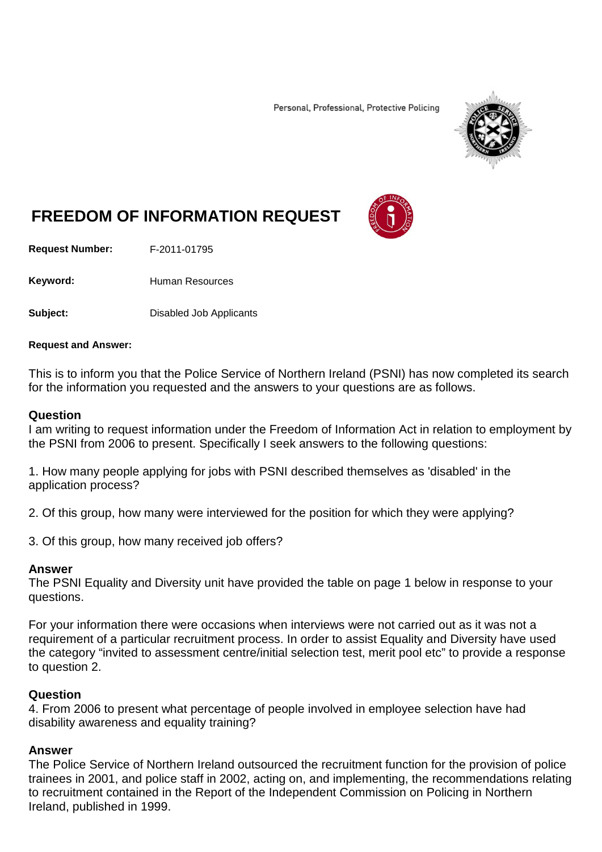Personal, Professional, Protective Policing



# **FREEDOM OF INFORMATION REQUEST**

**Request Number:** F-2011-01795

Keyword: Human Resources

**Subject:** Disabled Job Applicants

#### **Request and Answer:**

This is to inform you that the Police Service of Northern Ireland (PSNI) has now completed its search for the information you requested and the answers to your questions are as follows.

## **Question**

I am writing to request information under the Freedom of Information Act in relation to employment by the PSNI from 2006 to present. Specifically I seek answers to the following questions:

1. How many people applying for jobs with PSNI described themselves as 'disabled' in the application process?

2. Of this group, how many were interviewed for the position for which they were applying?

3. Of this group, how many received job offers?

### **Answer**

The PSNI Equality and Diversity unit have provided the table on page 1 below in response to your questions.

For your information there were occasions when interviews were not carried out as it was not a requirement of a particular recruitment process. In order to assist Equality and Diversity have used the category "invited to assessment centre/initial selection test, merit pool etc" to provide a response to question 2.

## **Question**

4. From 2006 to present what percentage of people involved in employee selection have had disability awareness and equality training?

### **Answer**

The Police Service of Northern Ireland outsourced the recruitment function for the provision of police trainees in 2001, and police staff in 2002, acting on, and implementing, the recommendations relating to recruitment contained in the Report of the Independent Commission on Policing in Northern Ireland, published in 1999.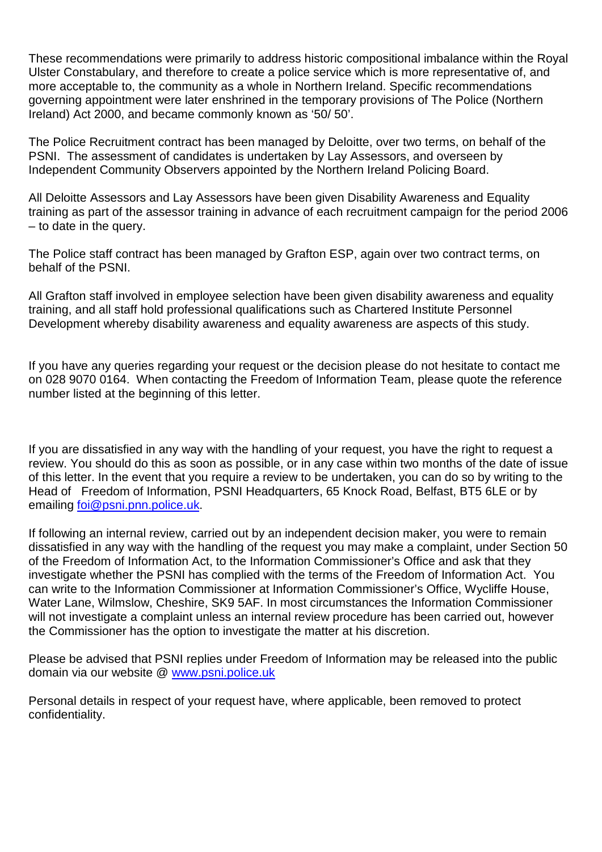These recommendations were primarily to address historic compositional imbalance within the Royal Ulster Constabulary, and therefore to create a police service which is more representative of, and more acceptable to, the community as a whole in Northern Ireland. Specific recommendations governing appointment were later enshrined in the temporary provisions of The Police (Northern Ireland) Act 2000, and became commonly known as '50/ 50'.

The Police Recruitment contract has been managed by Deloitte, over two terms, on behalf of the PSNI. The assessment of candidates is undertaken by Lay Assessors, and overseen by Independent Community Observers appointed by the Northern Ireland Policing Board.

All Deloitte Assessors and Lay Assessors have been given Disability Awareness and Equality training as part of the assessor training in advance of each recruitment campaign for the period 2006 – to date in the query.

The Police staff contract has been managed by Grafton ESP, again over two contract terms, on behalf of the PSNI.

All Grafton staff involved in employee selection have been given disability awareness and equality training, and all staff hold professional qualifications such as Chartered Institute Personnel Development whereby disability awareness and equality awareness are aspects of this study.

If you have any queries regarding your request or the decision please do not hesitate to contact me on 028 9070 0164. When contacting the Freedom of Information Team, please quote the reference number listed at the beginning of this letter.

If you are dissatisfied in any way with the handling of your request, you have the right to request a review. You should do this as soon as possible, or in any case within two months of the date of issue of this letter. In the event that you require a review to be undertaken, you can do so by writing to the Head of Freedom of Information, PSNI Headquarters, 65 Knock Road, Belfast, BT5 6LE or by emailing [foi@psni.pnn.police.uk.](mailto:foi@psni.pnn.police.uk)

If following an internal review, carried out by an independent decision maker, you were to remain dissatisfied in any way with the handling of the request you may make a complaint, under Section 50 of the Freedom of Information Act, to the Information Commissioner's Office and ask that they investigate whether the PSNI has complied with the terms of the Freedom of Information Act. You can write to the Information Commissioner at Information Commissioner's Office, Wycliffe House, Water Lane, Wilmslow, Cheshire, SK9 5AF. In most circumstances the Information Commissioner will not investigate a complaint unless an internal review procedure has been carried out, however the Commissioner has the option to investigate the matter at his discretion.

Please be advised that PSNI replies under Freedom of Information may be released into the public domain via our website @ [www.psni.police.uk](http://www.psni.police.uk/)

Personal details in respect of your request have, where applicable, been removed to protect confidentiality.